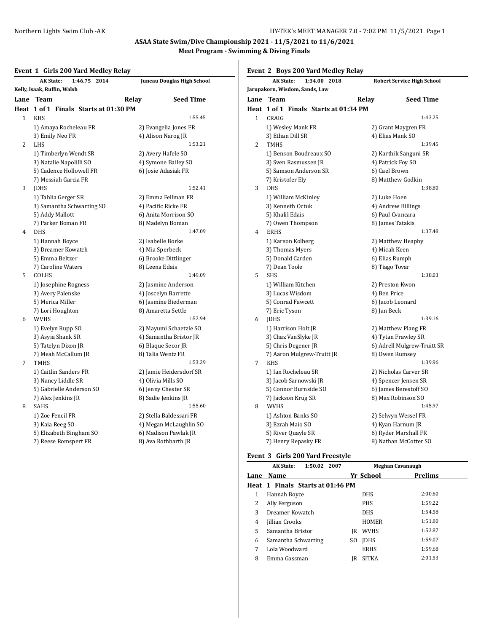# **Event 1 Girls 200 Yard Medley Relay**

| LIVLIIL | $\mathbf{r}$<br>and zoo fara meanly helay<br><b>AK State:</b><br>1:46.75 2014 | Juneau Douglas High School |
|---------|-------------------------------------------------------------------------------|----------------------------|
|         | Kelly, Isaak, Ruffin, Walsh                                                   |                            |
|         | Lane Team                                                                     | Relay<br><b>Seed Time</b>  |
| Heat    | 1 of 1 Finals Starts at 01:30 PM                                              |                            |
| 1       | <b>KHS</b>                                                                    | 1:55.45                    |
|         | 1) Amaya Rocheleau FR                                                         | 2) Evangelia Jones FR      |
|         | 3) Emily Neo FR                                                               | 4) Alison Narog JR         |
| 2       | LHS                                                                           | 1:53.21                    |
|         | 1) Timberlyn Wendt SR                                                         | 2) Avery Hafele SO         |
|         | 3) Natalie Napolilli SO                                                       | 4) Symone Bailey SO        |
|         | 5) Cadence Hollowell FR                                                       | 6) Josie Adasiak FR        |
|         | 7) Messiah Garcia FR                                                          |                            |
| 3       | <b>IDHS</b>                                                                   | 1:52.41                    |
|         | 1) Tahlia Gerger SR                                                           | 2) Emma Fellman FR         |
|         | 3) Samantha Schwarting SO                                                     | 4) Pacific Ricke FR        |
|         | 5) Addy Mallott                                                               | 6) Anita Morrison SO       |
|         | 7) Parker Boman FR                                                            | 8) Madelyn Boman           |
| 4       | <b>DHS</b>                                                                    | 1:47.09                    |
|         | 1) Hannah Boyce                                                               | 2) Isabelle Borke          |
|         | 3) Dreamer Kowatch                                                            | 4) Mia Sperbeck            |
|         | 5) Emma Beltzer                                                               | 6) Brooke Dittlinger       |
|         | 7) Caroline Waters                                                            | 8) Leena Edais             |
| 5       | COLHS                                                                         | 1:49.09                    |
|         | 1) Josephine Rogness                                                          | 2) Jasmine Anderson        |
|         | 3) Avery Palenske                                                             | 4) Joscelyn Barrette       |
|         | 5) Merica Miller                                                              | 6) Jasmine Biederman       |
|         | 7) Lori Houghton                                                              | 8) Amaretta Settle         |
| 6       | <b>WVHS</b>                                                                   | 1:52.94                    |
|         | 1) Evelyn Rupp SO                                                             | 2) Mayumi Schaetzle SO     |
|         | 3) Asyia Shank SR                                                             | 4) Samantha Bristor JR     |
|         | 5) Tatelyn Dixon JR                                                           | 6) Blaque Secor JR         |
|         | 7) Meah McCallum JR                                                           | 8) Talia Wentz FR          |
| 7       | <b>TMHS</b>                                                                   | 1:53.29                    |
|         | 1) Caitlin Sanders FR                                                         | 2) Jamie Heidersdorf SR    |
|         | 3) Nancy Liddle SR                                                            | 4) Olivia Mills SO         |
|         | 5) Gabrielle Anderson SO                                                      | 6) Jenny Chester SR        |
|         | 7) Alex Jenkins JR                                                            | 8) Sadie Jenkins JR        |
| 8       | SAHS                                                                          | 1:55.60                    |
|         | 1) Zoe Fencil FR                                                              | 2) Stella Baldessari FR    |
|         | 3) Kaia Reeg SO                                                               | 4) Megan McLaughlin SO     |
|         | 5) Elizabeth Bingham SO                                                       | 6) Madison Pawlak JR       |
|         | 7) Reese Romspert FR                                                          | 8) Ava Rothbarth JR        |

### **Event 2 Boys 200 Yard Medley Relay**

|              | <b>AK State:</b><br>1:34.00 2018      | <b>Robert Service High School</b> |
|--------------|---------------------------------------|-----------------------------------|
|              | Jarupakorn, Wisdom, Sands, Law        |                                   |
|              | Lane Team                             | <b>Seed Time</b><br>Relay         |
|              | Heat 1 of 1 Finals Starts at 01:34 PM |                                   |
| $\mathbf{1}$ | CRAIG                                 | 1:43.25                           |
|              | 1) Wesley Mank FR                     | 2) Grant Maygren FR               |
|              | 3) Ethan Dill SR                      | 4) Elias Mank SO                  |
| 2            | <b>TMHS</b>                           | 1:39.45                           |
|              | 1) Benson Boudreaux SO                | 2) Karthik Sanguni SR             |
|              | 3) Sven Rasmussen JR                  | 4) Patrick Foy SO                 |
|              | 5) Samson Anderson SR                 | 6) Cael Brown                     |
|              | 7) Kristofer Ely                      | 8) Matthew Godkin                 |
| 3            | <b>DHS</b>                            | 1:38.80                           |
|              | 1) William McKinley                   | 2) Luke Hoen                      |
|              | 3) Kenneth Octuk                      | 4) Andrew Billings                |
|              | 5) Khalil Edais                       | 6) Paul Cvancara                  |
|              | 7) Owen Thompson                      | 8) James Tatakis                  |
| 4            | <b>ERHS</b>                           | 1:37.48                           |
|              | 1) Karson Kolberg                     | 2) Matthew Heaphy                 |
|              | 3) Thomas Myers                       | 4) Micah Keen                     |
|              | 5) Donald Carden                      | 6) Elias Rumph                    |
|              | 7) Dean Toole                         | 8) Tiago Tovar                    |
| 5            | <b>SHS</b>                            | 1:38.03                           |
|              | 1) William Kitchen                    | 2) Preston Kwon                   |
|              | 3) Lucas Wisdom                       | 4) Ben Price                      |
|              | 5) Conrad Fawcett                     | 6) Jacob Leonard                  |
|              | 7) Eric Tyson                         | 8) Jan Beck                       |
| 6            | <b>IDHS</b>                           | 1:39.16                           |
|              | 1) Harrison Holt JR                   | 2) Matthew Plang FR               |
|              | 3) Chaz VanSlyke JR                   | 4) Tytan Frawley SR               |
|              | 5) Chris Degener JR                   | 6) Adrell Mulgrew-Truitt SR       |
|              | 7) Aaron Mulgrew-Truitt JR            | 8) Owen Rumsey                    |
| 7            | <b>KHS</b>                            | 1:39.96                           |
|              | 1) Ian Rocheleau SR                   | 2) Nicholas Carver SR             |
|              | 3) Jacob Sarnowski JR                 | 4) Spencer Jensen SR              |
|              | 5) Connor Burnside SO                 | 6) James Berestoff SO             |
|              | 7) Jackson Krug SR                    | 8) Max Robinson SO<br>1:45.97     |
| 8            | <b>WVHS</b>                           |                                   |
|              | 1) Ashton Banks SO                    | 2) Selwyn Wessel FR               |
|              | 3) Ezrah Maio SO                      | 4) Kyan Harnum JR                 |
|              | 5) River Quayle SR                    | 6) Ryder Marshall FR              |
|              | 7) Henry Repasky FR                   | 8) Nathan McCotter SO             |

### **Event 3 Girls 200 Yard Freestyle**

|      | 1:50.02 2007<br><b>AK State:</b> |     | Meghan Cavanaugh |                |  |  |
|------|----------------------------------|-----|------------------|----------------|--|--|
| Lane | <b>Name</b>                      |     | Yr School        | <b>Prelims</b> |  |  |
|      | Heat 1 Finals Starts at 01:46 PM |     |                  |                |  |  |
| 1    | Hannah Boyce                     |     | <b>DHS</b>       | 2:00.60        |  |  |
| 2    | Ally Ferguson                    |     | <b>PHS</b>       | 1:59.22        |  |  |
| 3    | Dreamer Kowatch                  |     | <b>DHS</b>       | 1:54.58        |  |  |
| 4    | Jillian Crooks                   |     | <b>HOMER</b>     | 1:51.80        |  |  |
| 5    | Samantha Bristor                 | IR  | <b>WVHS</b>      | 1:53.87        |  |  |
| 6    | Samantha Schwarting              | SO. | <b>IDHS</b>      | 1:59.07        |  |  |
| 7    | Lola Woodward                    |     | <b>ERHS</b>      | 1:59.68        |  |  |
| 8    | Emma Gassman                     | IR  | SITKA            | 2:01.53        |  |  |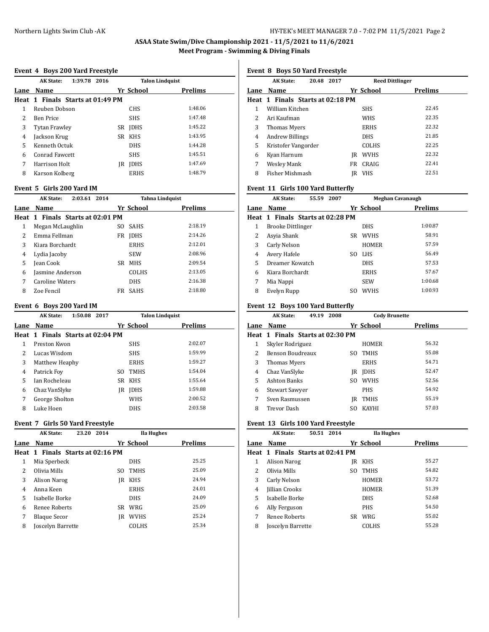#### **Event 4 Boys 200 Yard Freestyle**

|      | 1:39.78 2016<br><b>AK State:</b> |                   | <b>Talon Lindquist</b> |  |
|------|----------------------------------|-------------------|------------------------|--|
| Lane | Name                             | Yr School         | <b>Prelims</b>         |  |
|      | Heat 1 Finals Starts at 01:49 PM |                   |                        |  |
| 1    | Reuben Dobson                    | <b>CHS</b>        | 1:48.06                |  |
| 2    | <b>Ben Price</b>                 | <b>SHS</b>        | 1:47.48                |  |
| 3    | Tytan Frawley                    | <b>IDHS</b><br>SR | 1:45.22                |  |
| 4    | Jackson Krug                     | KHS<br>SR         | 1:43.95                |  |
| 5    | Kenneth Octuk                    | <b>DHS</b>        | 1:44.28                |  |
| 6    | Conrad Fawcett                   | <b>SHS</b>        | 1:45.51                |  |
| 7    | Harrison Holt                    | <b>IDHS</b><br>IR | 1:47.69                |  |
| 8    | Karson Kolberg                   | <b>ERHS</b>       | 1:48.79                |  |

#### **Event 5 Girls 200 Yard IM**

|      | 2:03.61 2014<br><b>AK State:</b> |                    | <b>Tahna Lindquist</b> |
|------|----------------------------------|--------------------|------------------------|
| Lane | Name                             | Yr School          | <b>Prelims</b>         |
|      | Heat 1 Finals Starts at 02:01 PM |                    |                        |
| 1    | Megan McLaughlin                 | <b>SAHS</b><br>SO. | 2:18.19                |
| 2    | Emma Fellman                     | <b>IDHS</b><br>FR  | 2:14.26                |
| 3    | Kiara Borchardt                  | <b>ERHS</b>        | 2:12.01                |
| 4    | Lydia Jacoby                     | <b>SEW</b>         | 2:08.96                |
| 5    | Jean Cook                        | <b>MHS</b><br>SR.  | 2:09.54                |
| 6    | Jasmine Anderson                 | <b>COLHS</b>       | 2:13.05                |
| 7    | Caroline Waters                  | <b>DHS</b>         | 2:16.38                |
| 8    | Zoe Fencil                       | <b>SAHS</b><br>FR  | 2:18.80                |

#### **Event 6 Boys 200 Yard IM**

|      | 1:50.08 2017<br><b>AK State:</b> |     |             | <b>Talon Lindquist</b> |
|------|----------------------------------|-----|-------------|------------------------|
| Lane | Name                             |     | Yr School   | <b>Prelims</b>         |
|      | Heat 1 Finals Starts at 02:04 PM |     |             |                        |
| 1    | Preston Kwon                     |     | <b>SHS</b>  | 2:02.07                |
| 2    | Lucas Wisdom                     |     | <b>SHS</b>  | 1:59.99                |
| 3    | Matthew Heaphy                   |     | <b>ERHS</b> | 1:59.27                |
| 4    | Patrick Foy                      | SO. | TMHS        | 1:54.04                |
| 5    | Ian Rocheleau                    | SR  | <b>KHS</b>  | 1:55.64                |
| 6    | Chaz VanSlyke                    | IR  | <b>IDHS</b> | 1:59.88                |
| 7    | George Sholton                   |     | <b>WHS</b>  | 2:00.52                |
| 8    | Luke Hoen                        |     | <b>DHS</b>  | 2:03.58                |

#### **Event 7 Girls 50 Yard Freestyle**

|                | <b>AK State:</b>                 | 23.20 | 2014 |     | Ila Hughes   |         |  |
|----------------|----------------------------------|-------|------|-----|--------------|---------|--|
| Lane           | Name                             |       |      |     | Yr School    | Prelims |  |
|                | Heat 1 Finals Starts at 02:16 PM |       |      |     |              |         |  |
| 1              | Mia Sperbeck                     |       |      |     | <b>DHS</b>   | 25.25   |  |
| $\overline{2}$ | Olivia Mills                     |       |      | SO. | <b>TMHS</b>  | 25.09   |  |
| 3              | Alison Narog                     |       |      | IR  | KHS          | 24.94   |  |
| 4              | Anna Keen                        |       |      |     | <b>ERHS</b>  | 24.01   |  |
| 5              | Isabelle Borke                   |       |      |     | <b>DHS</b>   | 24.09   |  |
| 6              | Renee Roberts                    |       |      | SR  | WRG          | 25.09   |  |
| 7              | <b>Blaque Secor</b>              |       |      | IR  | WVHS         | 25.24   |  |
| 8              | <b>Joscelyn Barrette</b>         |       |      |     | <b>COLHS</b> | 25.34   |  |
|                |                                  |       |      |     |              |         |  |

**Event 8 Boys 50 Yard Freestyle**

|      | <b>AK State:</b><br>20.48 2017   |    | <b>Reed Dittlinger</b> |                |
|------|----------------------------------|----|------------------------|----------------|
| Lane | <b>Name</b>                      |    | Yr School              | <b>Prelims</b> |
|      | Heat 1 Finals Starts at 02:18 PM |    |                        |                |
| 1    | William Kitchen                  |    | <b>SHS</b>             | 22.45          |
| 2    | Ari Kaufman                      |    | <b>WHS</b>             | 22.35          |
| 3    | Thomas Myers                     |    | <b>ERHS</b>            | 22.32          |
| 4    | Andrew Billings                  |    | <b>DHS</b>             | 21.85          |
| 5    | Kristofer Vangorder              |    | <b>COLHS</b>           | 22.25          |
| 6    | Kyan Harnum                      | IR | <b>WVHS</b>            | 22.32          |
| 7    | <b>Wesley Mank</b>               | FR | CRAIG                  | 22.41          |
| 8    | Fisher Mishmash                  | IR | <b>VHS</b>             | 22.51          |
|      |                                  |    |                        |                |

### **Event 11 Girls 100 Yard Butterfly**

|      | <b>AK State:</b><br>55.59 2007   | Meghan Cavanaugh |              |         |  |
|------|----------------------------------|------------------|--------------|---------|--|
| Lane | Name                             |                  | Yr School    | Prelims |  |
|      | Heat 1 Finals Starts at 02:28 PM |                  |              |         |  |
| 1    | Brooke Dittlinger                |                  | DHS          | 1:00.87 |  |
| 2    | Asyia Shank                      | SR.              | <b>WVHS</b>  | 58.91   |  |
| 3    | Carly Nelson                     |                  | <b>HOMER</b> | 57.59   |  |
| 4    | Avery Hafele                     | SO.              | <b>LHS</b>   | 56.49   |  |
| 5    | Dreamer Kowatch                  |                  | <b>DHS</b>   | 57.53   |  |
| 6    | Kiara Borchardt                  |                  | <b>ERHS</b>  | 57.67   |  |
| 7    | Mia Nappi                        |                  | <b>SEW</b>   | 1:00.68 |  |
| 8    | Evelyn Rupp                      | SO.              | <b>WVHS</b>  | 1:00.93 |  |

#### **Event 12 Boys 100 Yard Butterfly**

|      | <b>AK State:</b>                 | 49.19 | 2008 |     |              | <b>Cody Brunette</b> |  |
|------|----------------------------------|-------|------|-----|--------------|----------------------|--|
| Lane | Name                             |       |      |     | Yr School    | <b>Prelims</b>       |  |
|      | Heat 1 Finals Starts at 02:30 PM |       |      |     |              |                      |  |
| 1    | Skyler Rodriguez                 |       |      |     | HOMER        | 56.32                |  |
| 2    | Benson Boudreaux                 |       |      | SO. | <b>TMHS</b>  | 55.08                |  |
| 3    | Thomas Myers                     |       |      |     | <b>ERHS</b>  | 54.71                |  |
| 4    | Chaz VanSlyke                    |       |      | IR  | <b>IDHS</b>  | 52.47                |  |
| 5    | <b>Ashton Banks</b>              |       |      | SO. | <b>WVHS</b>  | 52.56                |  |
| 6    | <b>Stewart Sawyer</b>            |       |      |     | <b>PHS</b>   | 54.92                |  |
| 7    | Sven Rasmussen                   |       |      | IR  | <b>TMHS</b>  | 55.19                |  |
| 8    | Trevor Dash                      |       |      | SO. | <b>KAYHI</b> | 57.03                |  |

### **Event 13 Girls 100 Yard Freestyle**

|      | <b>AK State:</b>                 | 50.51 2014 |     | Ila Hughes   |         |  |
|------|----------------------------------|------------|-----|--------------|---------|--|
| Lane | Name                             |            |     | Yr School    | Prelims |  |
|      | Heat 1 Finals Starts at 02:41 PM |            |     |              |         |  |
| 1    | Alison Narog                     |            | IR  | KHS          | 55.27   |  |
| 2    | Olivia Mills                     |            | SO. | <b>TMHS</b>  | 54.82   |  |
| 3    | Carly Nelson                     |            |     | <b>HOMER</b> | 53.72   |  |
| 4    | Jillian Crooks                   |            |     | <b>HOMER</b> | 51.39   |  |
| 5    | Isabelle Borke                   |            |     | <b>DHS</b>   | 52.68   |  |
| 6    | Ally Ferguson                    |            |     | PHS          | 54.50   |  |
| 7    | Renee Roberts                    |            | SR  | WRG          | 55.02   |  |
| 8    | Joscelyn Barrette                |            |     | COLHS        | 55.28   |  |
|      |                                  |            |     |              |         |  |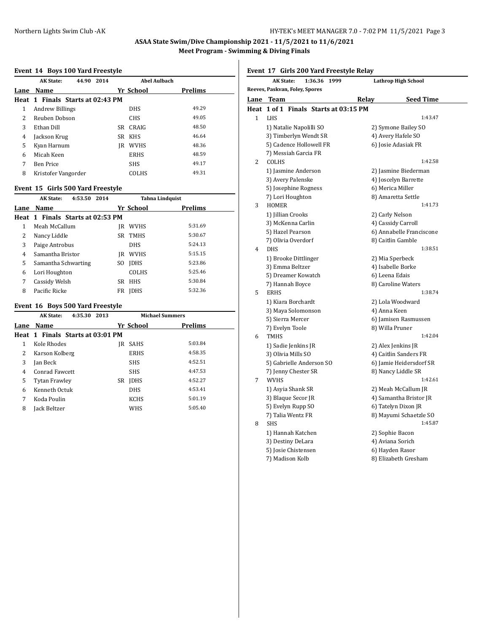### **Event 14 Boys 100 Yard Freestyle**

|   | <b>AK State:</b><br>44.90        | 2014 |    | <b>Abel Aulbach</b> |                |
|---|----------------------------------|------|----|---------------------|----------------|
|   | Lane Name                        |      |    | Yr School           | <b>Prelims</b> |
|   | Heat 1 Finals Starts at 02:43 PM |      |    |                     |                |
| 1 | Andrew Billings                  |      |    | <b>DHS</b>          | 49.29          |
| 2 | Reuben Dobson                    |      |    | <b>CHS</b>          | 49.05          |
| 3 | Ethan Dill                       |      | SR | CRAIG               | 48.50          |
| 4 | Jackson Krug                     |      | SR | KHS                 | 46.64          |
| 5 | Kyan Harnum                      |      | IR | <b>WVHS</b>         | 48.36          |
| 6 | Micah Keen                       |      |    | <b>ERHS</b>         | 48.59          |
| 7 | <b>Ben Price</b>                 |      |    | <b>SHS</b>          | 49.17          |
| 8 | Kristofer Vangorder              |      |    | COLHS               | 49.31          |

#### **Event 15 Girls 500 Yard Freestyle**

|      | 4:53.50 2014<br><b>AK State:</b> |                    | <b>Tahna Lindquist</b> |  |
|------|----------------------------------|--------------------|------------------------|--|
| Lane | Name                             | Yr School          | Prelims                |  |
|      | Heat 1 Finals Starts at 02:53 PM |                    |                        |  |
| 1    | Meah McCallum                    | <b>WVHS</b><br>IR  | 5:31.69                |  |
| 2    | Nancy Liddle                     | <b>TMHS</b><br>SR. | 5:30.67                |  |
| 3    | Paige Antrobus                   | <b>DHS</b>         | 5:24.13                |  |
| 4    | Samantha Bristor                 | <b>WVHS</b><br>IR  | 5:15.15                |  |
| 5    | Samantha Schwarting              | <b>IDHS</b><br>SO. | 5:23.86                |  |
| 6    | Lori Houghton                    | <b>COLHS</b>       | 5:25.46                |  |
| 7    | Cassidy Welsh                    | <b>HHS</b><br>SR.  | 5:30.84                |  |
| 8    | Pacific Ricke                    | <b>IDHS</b><br>FR  | 5:32.36                |  |

#### **Event 16 Boys 500 Yard Freestyle**

|      | <b>AK State:</b><br>4:35.30      | 2013 |    |             | <b>Michael Summers</b> |
|------|----------------------------------|------|----|-------------|------------------------|
| Lane | Name                             |      |    | Yr School   | Prelims                |
|      | Heat 1 Finals Starts at 03:01 PM |      |    |             |                        |
| 1    | Kole Rhodes                      |      | IR | <b>SAHS</b> | 5:03.84                |
| 2    | Karson Kolberg                   |      |    | <b>ERHS</b> | 4:58.35                |
| 3    | Jan Beck                         |      |    | <b>SHS</b>  | 4:52.51                |
| 4    | Conrad Fawcett                   |      |    | <b>SHS</b>  | 4:47.53                |
| 5    | <b>Tytan Frawley</b>             |      | SR | <b>IDHS</b> | 4:52.27                |
| 6    | Kenneth Octuk                    |      |    | <b>DHS</b>  | 4:53.41                |
| 7    | Koda Poulin                      |      |    | <b>KCHS</b> | 5:01.19                |
| 8    | <b>Jack Beltzer</b>              |      |    | <b>WHS</b>  | 5:05.40                |
|      |                                  |      |    |             |                        |

**Event 17 Girls 200 Yard Freestyle Relay**

|   | 1:36.36 1999<br>AK State:             | <b>Lathrop High School</b> |
|---|---------------------------------------|----------------------------|
|   | Reeves, Paskvan, Foley, Spores        |                            |
|   | Lane Team                             | Relay<br><b>Seed Time</b>  |
|   | Heat 1 of 1 Finals Starts at 03:15 PM |                            |
| 1 | <b>LHS</b>                            | 1:43.47                    |
|   | 1) Natalie Napolilli SO               | 2) Symone Bailey SO        |
|   | 3) Timberlyn Wendt SR                 | 4) Avery Hafele SO         |
|   | 5) Cadence Hollowell FR               | 6) Josie Adasiak FR        |
|   | 7) Messiah Garcia FR                  |                            |
| 2 | COLHS                                 | 1:42.58                    |
|   | 1) Jasmine Anderson                   | 2) Jasmine Biederman       |
|   | 3) Avery Palenske                     | 4) Joscelyn Barrette       |
|   | 5) Josephine Rogness                  | 6) Merica Miller           |
|   | 7) Lori Houghton                      | 8) Amaretta Settle         |
| 3 | <b>HOMER</b>                          | 1:41.73                    |
|   | 1) Jillian Crooks                     | 2) Carly Nelson            |
|   | 3) McKenna Carlin                     | 4) Cassidy Carroll         |
|   | 5) Hazel Pearson                      | 6) Annabelle Franciscone   |
|   | 7) Olivia Overdorf                    | 8) Caitlin Gamble          |
| 4 | <b>DHS</b>                            | 1:38.51                    |
|   | 1) Brooke Dittlinger                  | 2) Mia Sperbeck            |
|   | 3) Emma Beltzer                       | 4) Isabelle Borke          |
|   | 5) Dreamer Kowatch                    | 6) Leena Edais             |
|   | 7) Hannah Boyce                       | 8) Caroline Waters         |
| 5 | <b>ERHS</b>                           | 1:38.74                    |
|   | 1) Kiara Borchardt                    | 2) Lola Woodward           |
|   | 3) Maya Solomonson                    | 4) Anna Keen               |
|   | 5) Sierra Mercer                      | 6) Jamisen Rasmussen       |
|   | 7) Evelyn Toole                       | 8) Willa Pruner            |
| 6 | <b>TMHS</b>                           | 1:42.04                    |
|   | 1) Sadie Jenkins JR                   | 2) Alex Jenkins JR         |
|   | 3) Olivia Mills SO                    | 4) Caitlin Sanders FR      |
|   | 5) Gabrielle Anderson SO              | 6) Jamie Heidersdorf SR    |
|   | 7) Jenny Chester SR                   | 8) Nancy Liddle SR         |
| 7 | <b>WVHS</b>                           | 1:42.61                    |
|   | 1) Asyia Shank SR                     | 2) Meah McCallum JR        |
|   | 3) Blaque Secor JR                    | 4) Samantha Bristor JR     |
|   | 5) Evelyn Rupp SO                     | 6) Tatelyn Dixon JR        |
|   | 7) Talia Wentz FR                     | 8) Mayumi Schaetzle SO     |
| 8 | <b>SHS</b>                            | 1:45.87                    |
|   | 1) Hannah Katchen                     | 2) Sophie Bacon            |
|   | 3) Destiny DeLara                     | 4) Aviana Sorich           |
|   | 5) Josie Chistensen                   | 6) Hayden Rasor            |
|   | 7) Madison Kolb                       | 8) Elizabeth Gresham       |
|   |                                       |                            |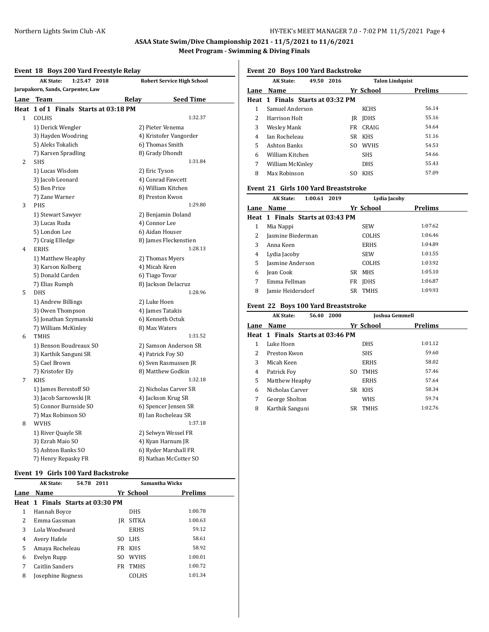### **Event 18 Boys 200 Yard Freestyle Relay**

|                | <b>AK State:</b><br>1:25.47 2018      | <b>Robert Service High School</b> |
|----------------|---------------------------------------|-----------------------------------|
|                | Jarupakorn, Sands, Carpenter, Law     |                                   |
|                | Lane Team                             | <b>Seed Time</b><br>Relay         |
|                | Heat 1 of 1 Finals Starts at 03:18 PM |                                   |
| $\mathbf{1}$   | COLHS                                 | 1:32.37                           |
|                | 1) Derick Wengler                     | 2) Pieter Venema                  |
|                | 3) Hayden Woodring                    | 4) Kristofer Vangorder            |
|                | 5) Aleks Tokalich                     | 6) Thomas Smith                   |
|                | 7) Karsen Spradling                   | 8) Grady Dhondt                   |
| 2              | <b>SHS</b>                            | 1:31.84                           |
|                | 1) Lucas Wisdom                       | 2) Eric Tyson                     |
|                | 3) Jacob Leonard                      | 4) Conrad Fawcett                 |
|                | 5) Ben Price                          | 6) William Kitchen                |
|                | 7) Zane Warner                        | 8) Preston Kwon                   |
| 3              | <b>PHS</b>                            | 1:29.80                           |
|                | 1) Stewart Sawyer                     | 2) Benjamin Doland                |
|                | 3) Lucas Ruda                         | 4) Connor Lee                     |
|                | 5) London Lee                         | 6) Aidan Houser                   |
|                | 7) Craig Elledge                      | 8) James Fleckenstien             |
| $\overline{4}$ | <b>ERHS</b>                           | 1:28.13                           |
|                | 1) Matthew Heaphy                     | 2) Thomas Myers                   |
|                | 3) Karson Kolberg                     | 4) Micah Keen                     |
|                | 5) Donald Carden                      | 6) Tiago Tovar                    |
|                | 7) Elias Rumph                        | 8) Jackson Delacruz               |
| 5              | <b>DHS</b>                            | 1:28.96                           |
|                | 1) Andrew Billings                    | 2) Luke Hoen                      |
|                | 3) Owen Thompson                      | 4) James Tatakis                  |
|                | 5) Jonathan Szymanski                 | 6) Kenneth Octuk                  |
|                | 7) William McKinley                   | 8) Max Waters                     |
| 6              | <b>TMHS</b>                           | 1:31.52                           |
|                | 1) Benson Boudreaux SO                | 2) Samson Anderson SR             |
|                | 3) Karthik Sanguni SR                 | 4) Patrick Foy SO                 |
|                | 5) Cael Brown                         | 6) Sven Rasmussen JR              |
|                | 7) Kristofer Ely                      | 8) Matthew Godkin                 |
| 7              | <b>KHS</b>                            | 1:32.18                           |
|                | 1) James Berestoff SO                 | 2) Nicholas Carver SR             |
|                | 3) Jacob Sarnowski JR                 | 4) Jackson Krug SR                |
|                | 5) Connor Burnside SO                 | 6) Spencer Jensen SR              |
|                | 7) Max Robinson SO                    | 8) Ian Rocheleau SR               |
| 8              | <b>WVHS</b>                           | 1:37.18                           |
|                | 1) River Quayle SR                    | 2) Selwyn Wessel FR               |
|                | 3) Ezrah Maio SO                      | 4) Kyan Harnum JR                 |
|                | 5) Ashton Banks SO                    | 6) Ryder Marshall FR              |
|                | 7) Henry Repasky FR                   | 8) Nathan McCotter SO             |

#### **Event 19 Girls 100 Yard Backstroke**

|      | <b>AK State:</b>                 | 54.78 2011 |     |              | Samantha Wicks |  |
|------|----------------------------------|------------|-----|--------------|----------------|--|
| Lane | Name                             |            |     | Yr School    | Prelims        |  |
|      | Heat 1 Finals Starts at 03:30 PM |            |     |              |                |  |
| 1    | Hannah Boyce                     |            |     | <b>DHS</b>   | 1:00.78        |  |
| 2    | Emma Gassman                     |            | IR  | <b>SITKA</b> | 1:00.63        |  |
| 3    | Lola Woodward                    |            |     | <b>ERHS</b>  | 59.12          |  |
| 4    | Avery Hafele                     |            | SO. | LHS          | 58.61          |  |
| 5    | Amaya Rocheleau                  |            | FR  | KHS          | 58.92          |  |
| 6    | Evelyn Rupp                      |            | SO. | <b>WVHS</b>  | 1:00.01        |  |
| 7    | Caitlin Sanders                  |            | FR  | <b>TMHS</b>  | 1:00.72        |  |
| 8    | Josephine Rogness                |            |     | COLHS        | 1:01.34        |  |

### **Event 20 Boys 100 Yard Backstroke**

|                | <b>AK State:</b><br>49.50 2016   |     | <b>Talon Lindquist</b> |         |
|----------------|----------------------------------|-----|------------------------|---------|
| Lane           | Name                             |     | Yr School              | Prelims |
|                | Heat 1 Finals Starts at 03:32 PM |     |                        |         |
| 1              | Samuel Anderson                  |     | <b>KCHS</b>            | 56.14   |
| 2              | Harrison Holt                    | IR  | <b>IDHS</b>            | 55.16   |
| 3              | Wesley Mank                      | FR  | CRAIG                  | 54.64   |
| $\overline{4}$ | Ian Rocheleau                    |     | SR KHS                 | 51.16   |
| 5              | <b>Ashton Banks</b>              | SO. | <b>WVHS</b>            | 54.53   |
| 6              | William Kitchen                  |     | <b>SHS</b>             | 54.66   |
| 7              | William McKinley                 |     | <b>DHS</b>             | 55.43   |
| 8              | Max Robinson                     | SO. | <b>KHS</b>             | 57.09   |
|                |                                  |     |                        |         |

#### **Event 21 Girls 100 Yard Breaststroke**

|      | 1:00.61 2019<br><b>AK State:</b> |     | Lydia Jacoby |                |  |
|------|----------------------------------|-----|--------------|----------------|--|
| Lane | <b>Name</b>                      |     | Yr School    | <b>Prelims</b> |  |
|      | Heat 1 Finals Starts at 03:43 PM |     |              |                |  |
| 1    | Mia Nappi                        |     | <b>SEW</b>   | 1:07.62        |  |
| 2    | Jasmine Biederman                |     | <b>COLHS</b> | 1:06.46        |  |
| 3    | Anna Keen                        |     | <b>ERHS</b>  | 1:04.89        |  |
| 4    | Lydia Jacoby                     |     | <b>SEW</b>   | 1:01.55        |  |
| 5    | Jasmine Anderson                 |     | <b>COLHS</b> | 1:03.92        |  |
| 6    | Jean Cook                        | SR. | <b>MHS</b>   | 1:05.10        |  |
| 7    | Emma Fellman                     | FR  | <b>IDHS</b>  | 1:06.87        |  |
| 8    | Jamie Heidersdorf                |     | SR TMHS      | 1:09.93        |  |

#### **Event 22 Boys 100 Yard Breaststroke**

|               | <b>AK State:</b>                 | 56.40 2000 |     |             | Joshua Gemmell |
|---------------|----------------------------------|------------|-----|-------------|----------------|
| Lane          | Name                             |            |     | Yr School   | Prelims        |
|               | Heat 1 Finals Starts at 03:46 PM |            |     |             |                |
| 1             | Luke Hoen                        |            |     | <b>DHS</b>  | 1:01.12        |
| $\mathcal{L}$ | Preston Kwon                     |            |     | <b>SHS</b>  | 59.60          |
| 3             | Micah Keen                       |            |     | ERHS        | 58.02          |
| 4             | Patrick Foy                      |            | SO. | <b>TMHS</b> | 57.46          |
| 5             | Matthew Heaphy                   |            |     | ERHS        | 57.64          |
| 6             | Nicholas Carver                  |            | SR  | KHS         | 58.34          |
| 7             | George Sholton                   |            |     | WHS         | 59.74          |
| 8             | Karthik Sanguni                  |            | SR. | <b>TMHS</b> | 1:02.76        |
|               |                                  |            |     |             |                |